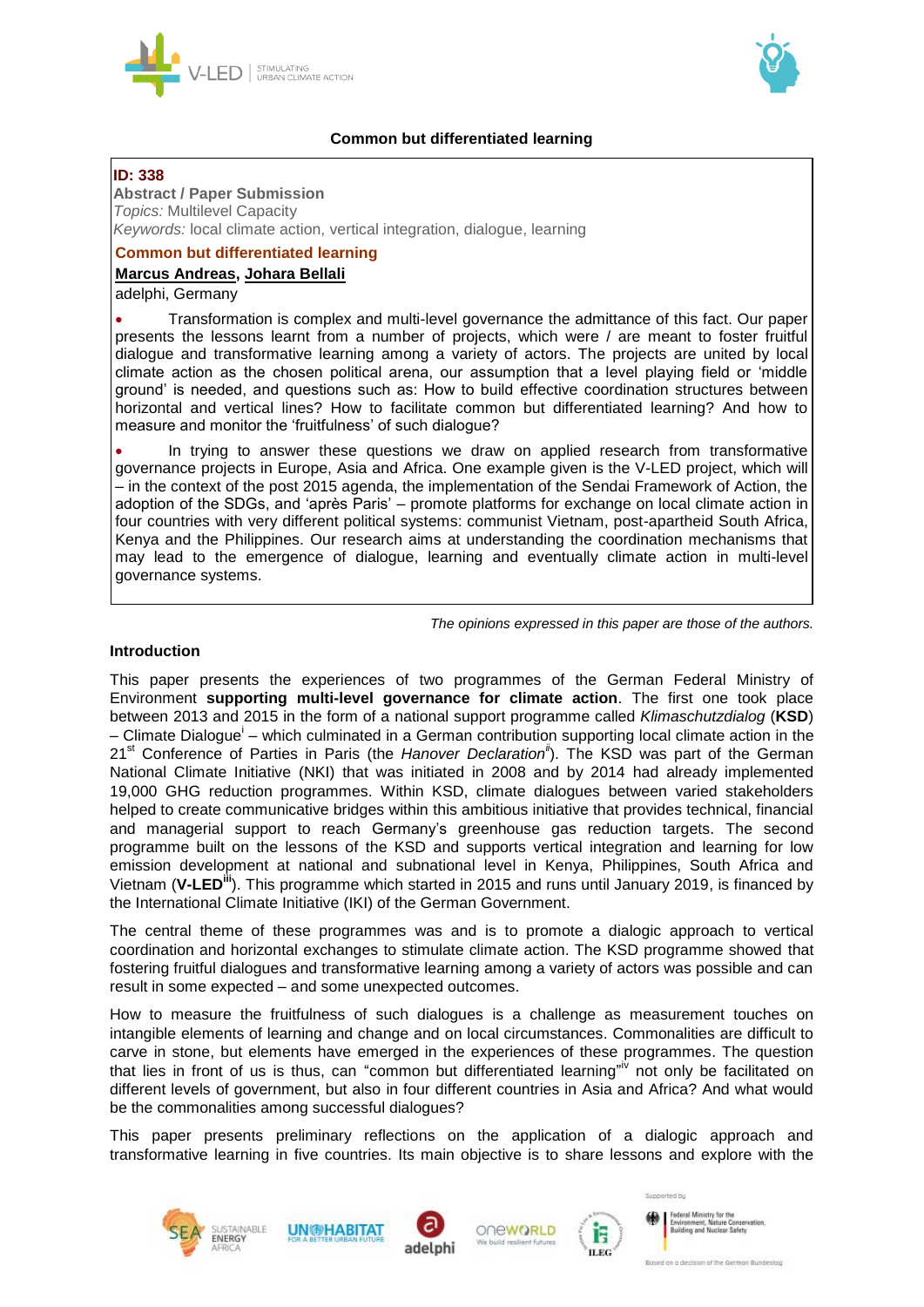



## **Common but differentiated learning**

## **ID: 338**

## **Abstract / Paper Submission**

*Topics:* Multilevel Capacity *Keywords:* local climate action, vertical integration, dialogue, learning

## **Common but differentiated learning**

## **Marcus Andreas, Johara Bellali**

adelphi, Germany

 Transformation is complex and multi-level governance the admittance of this fact. Our paper presents the lessons learnt from a number of projects, which were / are meant to foster fruitful dialogue and transformative learning among a variety of actors. The projects are united by local climate action as the chosen political arena, our assumption that a level playing field or 'middle ground' is needed, and questions such as: How to build effective coordination structures between horizontal and vertical lines? How to facilitate common but differentiated learning? And how to measure and monitor the 'fruitfulness' of such dialogue?

 In trying to answer these questions we draw on applied research from transformative governance projects in Europe, Asia and Africa. One example given is the V-LED project, which will – in the context of the post 2015 agenda, the implementation of the Sendai Framework of Action, the adoption of the SDGs, and 'après Paris' – promote platforms for exchange on local climate action in four countries with very different political systems: communist Vietnam, post-apartheid South Africa, Kenya and the Philippines. Our research aims at understanding the coordination mechanisms that may lead to the emergence of dialogue, learning and eventually climate action in multi-level governance systems.

*The opinions expressed in this paper are those of the authors.*

## **Introduction**

This paper presents the experiences of two programmes of the German Federal Ministry of Environment **supporting multi-level governance for climate action**. The first one took place between 2013 and 2015 in the form of a national support programme called *Klimaschutzdialog* (**KSD**) - Climate Dialogue<sup>i</sup> - which culminated in a German contribution supporting local climate action in the 21<sup>st</sup> Conference of Parties in Paris (the *Hanover Declaration<sup>ii</sup>)*. The KSD was part of the German National Climate Initiative (NKI) that was initiated in 2008 and by 2014 had already implemented 19,000 GHG reduction programmes. Within KSD, climate dialogues between varied stakeholders helped to create communicative bridges within this ambitious initiative that provides technical, financial and managerial support to reach Germany's greenhouse gas reduction targets. The second programme built on the lessons of the KSD and supports vertical integration and learning for low emission development at national and subnational level in Kenya, Philippines, South Africa and Vietnam (**V-LEDiii**). This programme which started in 2015 and runs until January 2019, is financed by the International Climate Initiative (IKI) of the German Government.

The central theme of these programmes was and is to promote a dialogic approach to vertical coordination and horizontal exchanges to stimulate climate action. The KSD programme showed that fostering fruitful dialogues and transformative learning among a variety of actors was possible and can result in some expected – and some unexpected outcomes.

How to measure the fruitfulness of such dialogues is a challenge as measurement touches on intangible elements of learning and change and on local circumstances. Commonalities are difficult to carve in stone, but elements have emerged in the experiences of these programmes. The question that lies in front of us is thus, can "common but differentiated learning"<sup>iv</sup> not only be facilitated on different levels of government, but also in four different countries in Asia and Africa? And what would be the commonalities among successful dialogues?

This paper presents preliminary reflections on the application of a dialogic approach and transformative learning in five countries. Its main objective is to share lessons and explore with the











doral Ministru far Building and Nuclear Safety

Supported by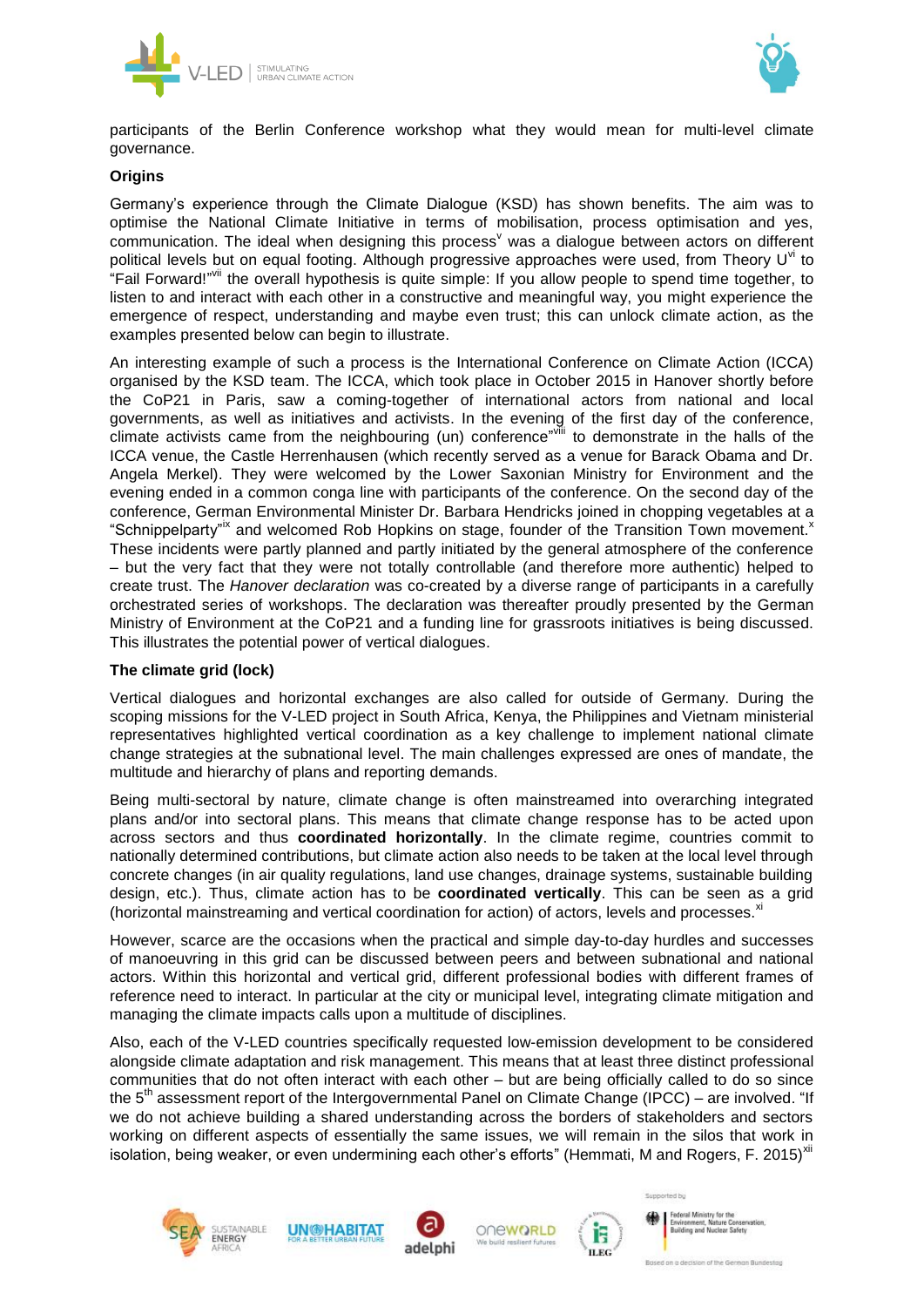



participants of the Berlin Conference workshop what they would mean for multi-level climate governance.

## **Origins**

Germany's experience through the Climate Dialogue (KSD) has shown benefits. The aim was to optimise the National Climate Initiative in terms of mobilisation, process optimisation and yes, communication. The ideal when designing this process<sup>v</sup> was a dialogue between actors on different political levels but on equal footing. Although progressive approaches were used, from Theory U<sup>vi</sup> to "Fail Forward!" if the overall hypothesis is quite simple: If you allow people to spend time together, to listen to and interact with each other in a constructive and meaningful way, you might experience the emergence of respect, understanding and maybe even trust; this can unlock climate action, as the examples presented below can begin to illustrate.

An interesting example of such a process is the International Conference on Climate Action (ICCA) organised by the KSD team. The ICCA, which took place in October 2015 in Hanover shortly before the CoP21 in Paris, saw a coming-together of international actors from national and local governments, as well as initiatives and activists. In the evening of the first day of the conference, climate activists came from the neighbouring (un) conference"vill to demonstrate in the halls of the ICCA venue, the Castle Herrenhausen (which recently served as a venue for Barack Obama and Dr. Angela Merkel). They were welcomed by the Lower Saxonian Ministry for Environment and the evening ended in a common conga line with participants of the conference. On the second day of the conference, German Environmental Minister Dr. Barbara Hendricks joined in chopping vegetables at a "Schnippelparty" and welcomed Rob Hopkins on stage, founder of the Transition Town movement.<sup>x</sup> These incidents were partly planned and partly initiated by the general atmosphere of the conference – but the very fact that they were not totally controllable (and therefore more authentic) helped to create trust. The *Hanover declaration* was co-created by a diverse range of participants in a carefully orchestrated series of workshops. The declaration was thereafter proudly presented by the German Ministry of Environment at the CoP21 and a funding line for grassroots initiatives is being discussed. This illustrates the potential power of vertical dialogues.

### **The climate grid (lock)**

Vertical dialogues and horizontal exchanges are also called for outside of Germany. During the scoping missions for the V-LED project in South Africa, Kenya, the Philippines and Vietnam ministerial representatives highlighted vertical coordination as a key challenge to implement national climate change strategies at the subnational level. The main challenges expressed are ones of mandate, the multitude and hierarchy of plans and reporting demands.

Being multi-sectoral by nature, climate change is often mainstreamed into overarching integrated plans and/or into sectoral plans. This means that climate change response has to be acted upon across sectors and thus **coordinated horizontally**. In the climate regime, countries commit to nationally determined contributions, but climate action also needs to be taken at the local level through concrete changes (in air quality regulations, land use changes, drainage systems, sustainable building design, etc.). Thus, climate action has to be **coordinated vertically**. This can be seen as a grid (horizontal mainstreaming and vertical coordination for action) of actors, levels and processes.<sup>xi</sup>

However, scarce are the occasions when the practical and simple day-to-day hurdles and successes of manoeuvring in this grid can be discussed between peers and between subnational and national actors. Within this horizontal and vertical grid, different professional bodies with different frames of reference need to interact. In particular at the city or municipal level, integrating climate mitigation and managing the climate impacts calls upon a multitude of disciplines.

Also, each of the V-LED countries specifically requested low-emission development to be considered alongside climate adaptation and risk management. This means that at least three distinct professional communities that do not often interact with each other – but are being officially called to do so since the 5<sup>th</sup> assessment report of the Intergovernmental Panel on Climate Change (IPCC) – are involved. "If we do not achieve building a shared understanding across the borders of stakeholders and sectors working on different aspects of essentially the same issues, we will remain in the silos that work in isolation, being weaker, or even undermining each other's efforts" (Hemmati, M and Rogers, F. 2015)<sup>xii</sup>











**Agend Missions** Building and Nuclear Safety

Summerfield has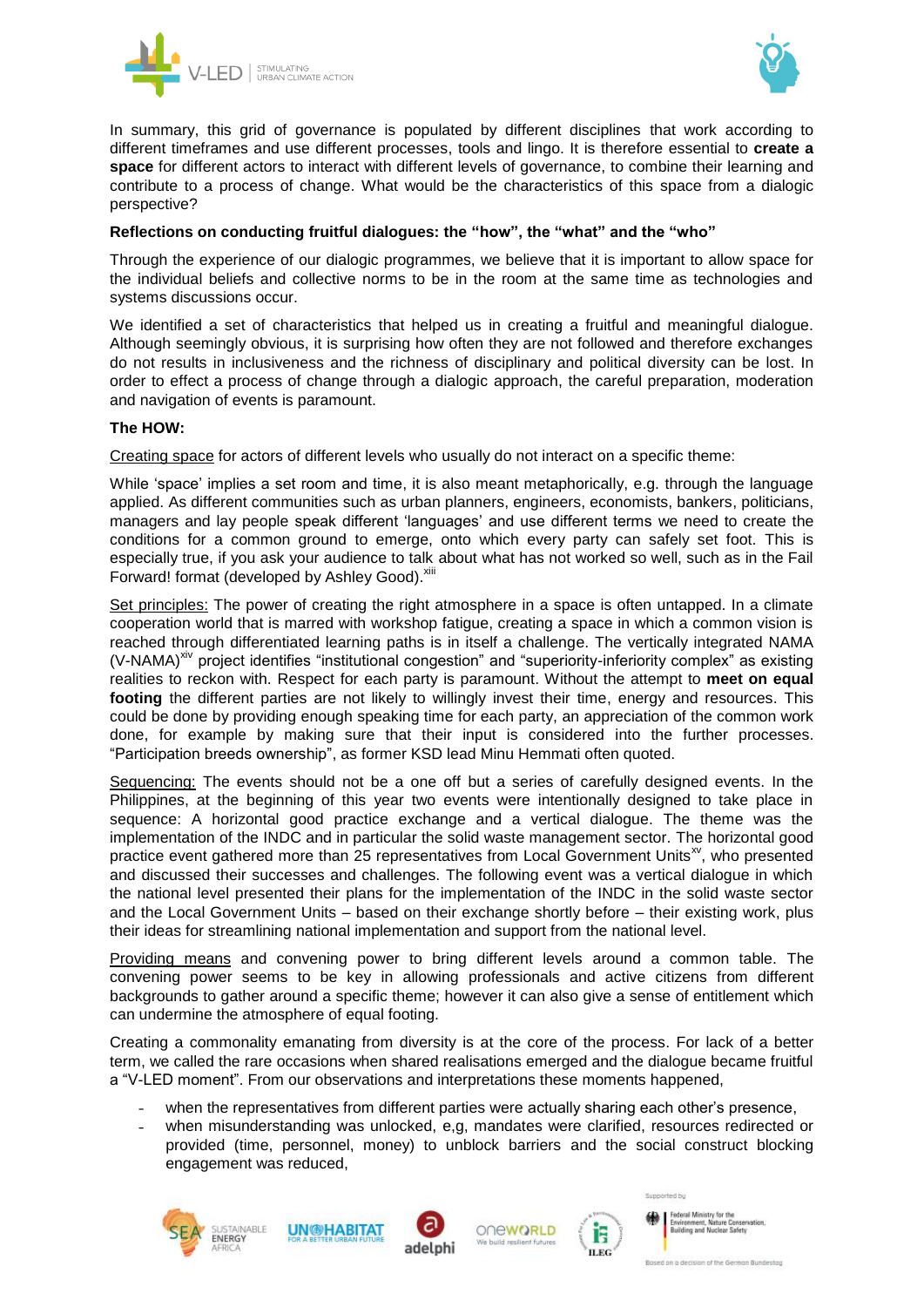



In summary, this grid of governance is populated by different disciplines that work according to different timeframes and use different processes, tools and lingo. It is therefore essential to **create a space** for different actors to interact with different levels of governance, to combine their learning and contribute to a process of change. What would be the characteristics of this space from a dialogic perspective?

# **Reflections on conducting fruitful dialogues: the "how", the "what" and the "who"**

Through the experience of our dialogic programmes, we believe that it is important to allow space for the individual beliefs and collective norms to be in the room at the same time as technologies and systems discussions occur.

We identified a set of characteristics that helped us in creating a fruitful and meaningful dialogue. Although seemingly obvious, it is surprising how often they are not followed and therefore exchanges do not results in inclusiveness and the richness of disciplinary and political diversity can be lost. In order to effect a process of change through a dialogic approach, the careful preparation, moderation and navigation of events is paramount.

# **The HOW:**

Creating space for actors of different levels who usually do not interact on a specific theme:

While 'space' implies a set room and time, it is also meant metaphorically, e.g. through the language applied. As different communities such as urban planners, engineers, economists, bankers, politicians, managers and lay people speak different 'languages' and use different terms we need to create the conditions for a common ground to emerge, onto which every party can safely set foot. This is especially true, if you ask your audience to talk about what has not worked so well, such as in the Fail Forward! format (developed by Ashley Good). Xiii

Set principles: The power of creating the right atmosphere in a space is often untapped. In a climate cooperation world that is marred with workshop fatigue, creating a space in which a common vision is reached through differentiated learning paths is in itself a challenge. The vertically integrated NAMA (V-NAMA)<sup>xiv</sup> project identifies "institutional congestion" and "superiority-inferiority complex" as existing realities to reckon with. Respect for each party is paramount. Without the attempt to **meet on equal footing** the different parties are not likely to willingly invest their time, energy and resources. This could be done by providing enough speaking time for each party, an appreciation of the common work done, for example by making sure that their input is considered into the further processes. "Participation breeds ownership", as former KSD lead Minu Hemmati often quoted.

Sequencing: The events should not be a one off but a series of carefully designed events. In the Philippines, at the beginning of this year two events were intentionally designed to take place in sequence: A horizontal good practice exchange and a vertical dialogue. The theme was the implementation of the INDC and in particular the solid waste management sector. The horizontal good practice event gathered more than 25 representatives from Local Government Units<sup>xv</sup>, who presented and discussed their successes and challenges. The following event was a vertical dialogue in which the national level presented their plans for the implementation of the INDC in the solid waste sector and the Local Government Units – based on their exchange shortly before – their existing work, plus their ideas for streamlining national implementation and support from the national level.

Providing means and convening power to bring different levels around a common table. The convening power seems to be key in allowing professionals and active citizens from different backgrounds to gather around a specific theme; however it can also give a sense of entitlement which can undermine the atmosphere of equal footing.

Creating a commonality emanating from diversity is at the core of the process. For lack of a better term, we called the rare occasions when shared realisations emerged and the dialogue became fruitful a "V-LED moment". From our observations and interpretations these moments happened,

- when the representatives from different parties were actually sharing each other's presence,
- when misunderstanding was unlocked, e,g, mandates were clarified, resources redirected or  $\mathbb{Z}^{\mathbb{Z}}$ provided (time, personnel, money) to unblock barriers and the social construct blocking engagement was reduced,











Building and Nuclear Safety

Summerfield has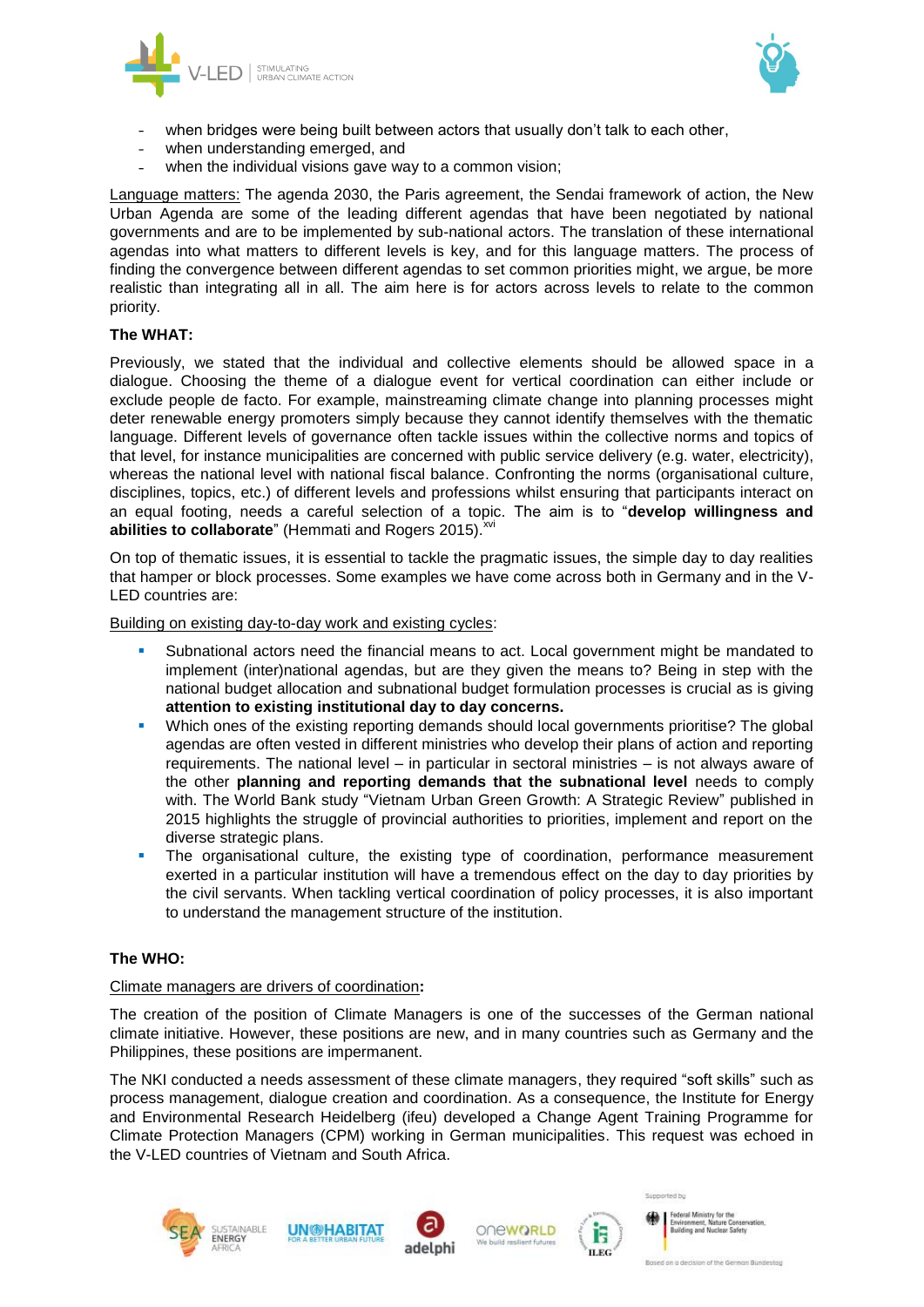



- when bridges were being built between actors that usually don't talk to each other,
- when understanding emerged, and
- when the individual visions gave way to a common vision;

Language matters: The agenda 2030, the Paris agreement, the Sendai framework of action, the New Urban Agenda are some of the leading different agendas that have been negotiated by national governments and are to be implemented by sub-national actors. The translation of these international agendas into what matters to different levels is key, and for this language matters. The process of finding the convergence between different agendas to set common priorities might, we argue, be more realistic than integrating all in all. The aim here is for actors across levels to relate to the common priority.

## **The WHAT:**

Previously, we stated that the individual and collective elements should be allowed space in a dialogue. Choosing the theme of a dialogue event for vertical coordination can either include or exclude people de facto. For example, mainstreaming climate change into planning processes might deter renewable energy promoters simply because they cannot identify themselves with the thematic language. Different levels of governance often tackle issues within the collective norms and topics of that level, for instance municipalities are concerned with public service delivery (e.g. water, electricity), whereas the national level with national fiscal balance. Confronting the norms (organisational culture, disciplines, topics, etc.) of different levels and professions whilst ensuring that participants interact on an equal footing, needs a careful selection of a topic. The aim is to "**develop willingness and**  abilities to collaborate" (Hemmati and Rogers 2015). XVI

On top of thematic issues, it is essential to tackle the pragmatic issues, the simple day to day realities that hamper or block processes. Some examples we have come across both in Germany and in the V-LED countries are:

Building on existing day-to-day work and existing cycles:

- Subnational actors need the financial means to act. Local government might be mandated to implement (inter)national agendas, but are they given the means to? Being in step with the national budget allocation and subnational budget formulation processes is crucial as is giving **attention to existing institutional day to day concerns.**
- Which ones of the existing reporting demands should local governments prioritise? The global agendas are often vested in different ministries who develop their plans of action and reporting requirements. The national level – in particular in sectoral ministries – is not always aware of the other **planning and reporting demands that the subnational level** needs to comply with. The World Bank study "Vietnam Urban Green Growth: A Strategic Review" published in 2015 highlights the struggle of provincial authorities to priorities, implement and report on the diverse strategic plans.
- The organisational culture, the existing type of coordination, performance measurement exerted in a particular institution will have a tremendous effect on the day to day priorities by the civil servants. When tackling vertical coordination of policy processes, it is also important to understand the management structure of the institution.

# **The WHO:**

### Climate managers are drivers of coordination**:**

The creation of the position of Climate Managers is one of the successes of the German national climate initiative. However, these positions are new, and in many countries such as Germany and the Philippines, these positions are impermanent.

The NKI conducted a needs assessment of these climate managers, they required "soft skills" such as process management, dialogue creation and coordination. As a consequence, the Institute for Energy and Environmental Research Heidelberg (ifeu) developed a Change Agent Training Programme for Climate Protection Managers (CPM) working in German municipalities. This request was echoed in the V-LED countries of Vietnam and South Africa.











Supported by

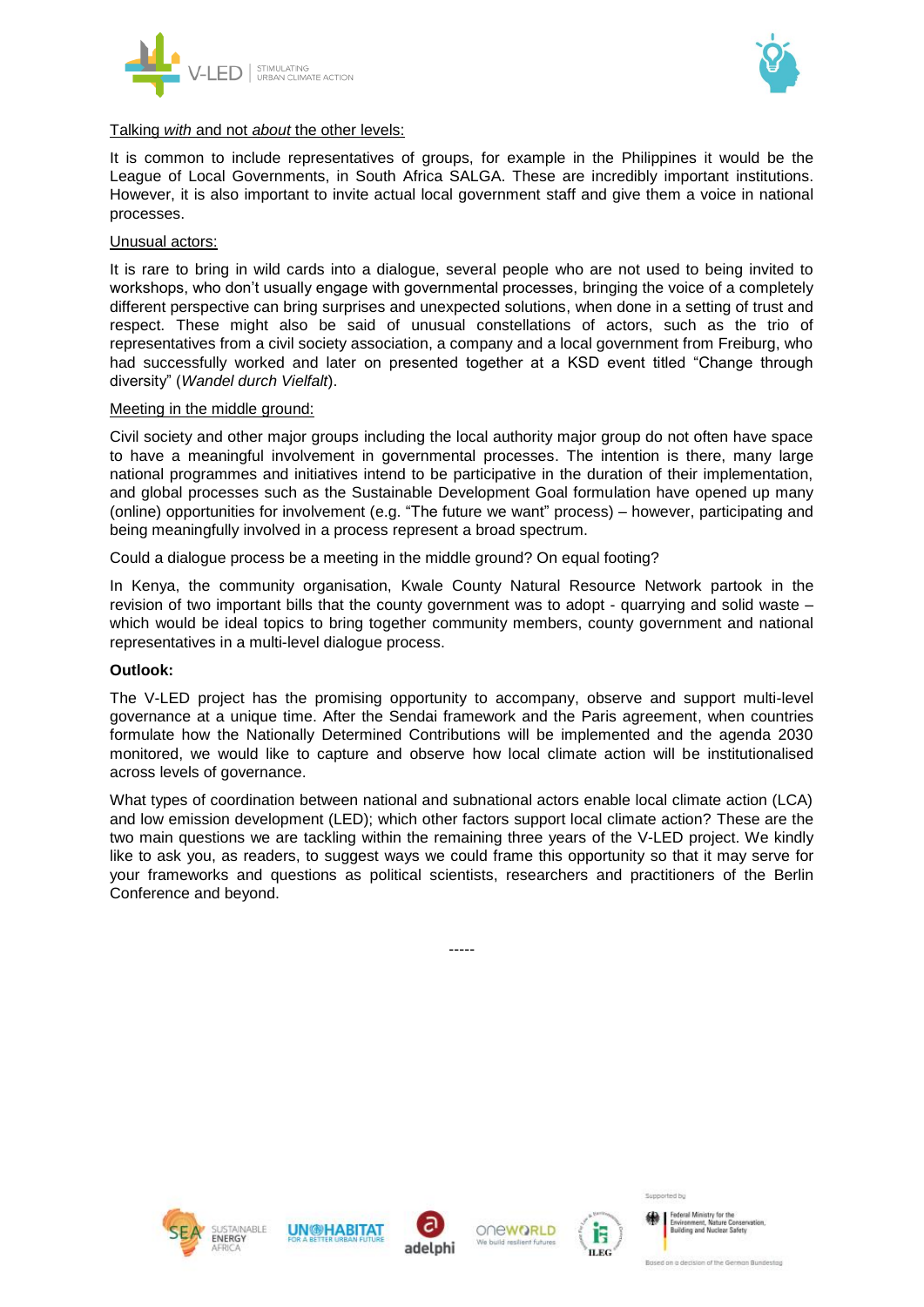



#### Talking *with* and not *about* the other levels:

It is common to include representatives of groups, for example in the Philippines it would be the League of Local Governments, in South Africa SALGA. These are incredibly important institutions. However, it is also important to invite actual local government staff and give them a voice in national processes.

#### Unusual actors:

It is rare to bring in wild cards into a dialogue, several people who are not used to being invited to workshops, who don't usually engage with governmental processes, bringing the voice of a completely different perspective can bring surprises and unexpected solutions, when done in a setting of trust and respect. These might also be said of unusual constellations of actors, such as the trio of representatives from a civil society association, a company and a local government from Freiburg, who had successfully worked and later on presented together at a KSD event titled "Change through diversity" (*Wandel durch Vielfalt*).

#### Meeting in the middle ground:

Civil society and other major groups including the local authority major group do not often have space to have a meaningful involvement in governmental processes. The intention is there, many large national programmes and initiatives intend to be participative in the duration of their implementation, and global processes such as the Sustainable Development Goal formulation have opened up many (online) opportunities for involvement (e.g. "The future we want" process) – however, participating and being meaningfully involved in a process represent a broad spectrum.

Could a dialogue process be a meeting in the middle ground? On equal footing?

In Kenya, the community organisation, Kwale County Natural Resource Network partook in the revision of two important bills that the county government was to adopt - quarrying and solid waste – which would be ideal topics to bring together community members, county government and national representatives in a multi-level dialogue process.

### **Outlook:**

The V-LED project has the promising opportunity to accompany, observe and support multi-level governance at a unique time. After the Sendai framework and the Paris agreement, when countries formulate how the Nationally Determined Contributions will be implemented and the agenda 2030 monitored, we would like to capture and observe how local climate action will be institutionalised across levels of governance.

What types of coordination between national and subnational actors enable local climate action (LCA) and low emission development (LED); which other factors support local climate action? These are the two main questions we are tackling within the remaining three years of the V-LED project. We kindly like to ask you, as readers, to suggest ways we could frame this opportunity so that it may serve for your frameworks and questions as political scientists, researchers and practitioners of the Berlin Conference and beyond.

-----



**AINABLE** 









Supported by

**Joral Ministr Building and Nuclear Safety**